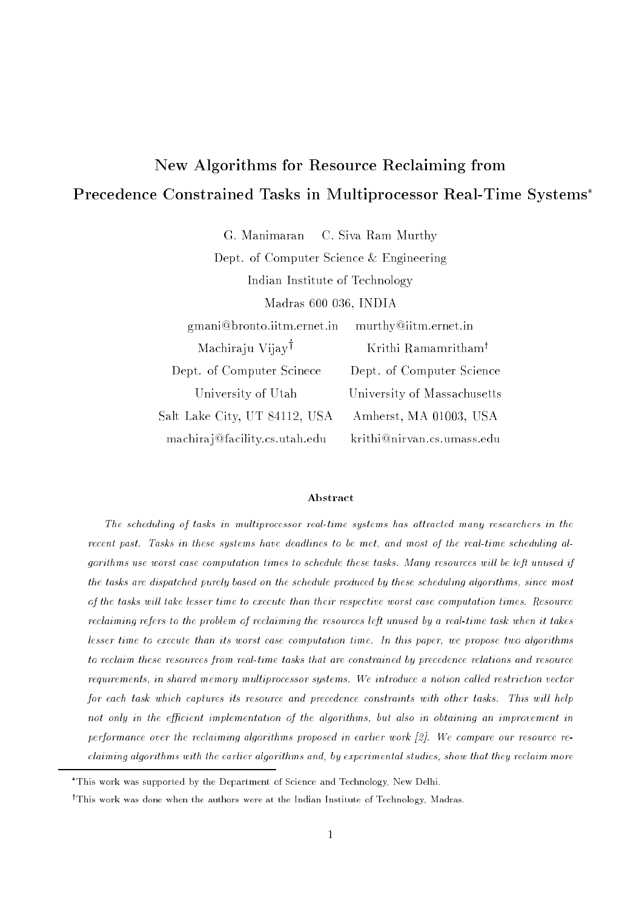# New Algorithms for Resource Reclaiming from Precedence Constrained Tasks in Multiprocessor Real-Time Systems

G. Manimaran C. Siva Ram Murthy

Dept. of Computer Science & Engineering

Indian Institute of Technology

Madras 600 036, INDIA Madras 600 036, INDIA

gmani@bronto.iitm.ernet.in murthy@iitm.ernet.in Machira ju Vijay<sup>†</sup> Krithi Ramamritham<sup>†</sup> Dept. of Computer Scinece Dept. of Computer Science University of Utah University of Massachusetts Salt Lake City, UT 84112, USA Amherst, MA 01003, USA machiraj@facility.cs.utah.edu krithi@nirvan.cs.umass.edu

### Abstract

The scheduling of tasks in multiprocessor real-time systems has attracted many researchers in the recent past. Tasks in these systems have dead lines to be met, and most of the real-time scheduling algorithms use worst case computation times to contenute these tasks. Many resources will be left united if the tasks are dispatched purely based on the schedule produced by these scheduling algorithms, since most of the tasks wil l take lesser time to execute than their respective worst case computation times. Resource reclaiming refers to the problem of reclaiming the resources left unused by a real-time task when it takes lesser time to execute than its worst case computation time. In this paper, we propose two algorithms to reclaim these resources from real-time tasks that are constrained by precedence relations and resource requirements, in shared memory multiprocessor systems. We introduce a notion cal led restriction vector for each task which captures its resource and precedence constraints with other tasks. This wil l help not only in the ecient implementation of the algorithms, but also in obtaining an improvement in performance over the reclaiming algorithms proposed in earlier work [2]. We compare our resource reclaiming algorithms with the earlier algorithms and, by experimental studies, show that they reclaim more

This work was supported by the Department of Science and Technology, New Delhi.

<sup>y</sup> This work was done when the authors were at the Indian Institute of Technology, Madras.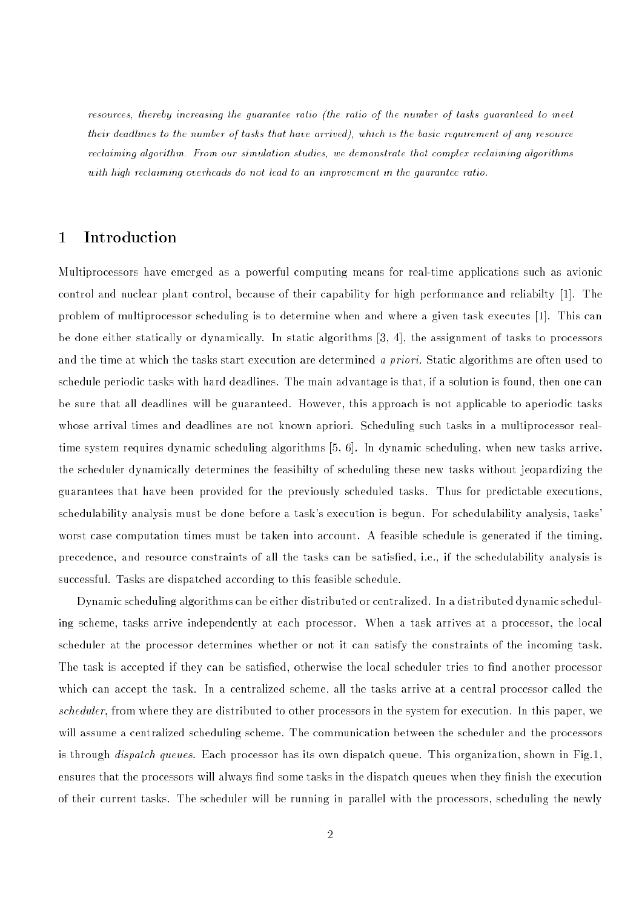resources, thereby increasing the guarantee ratio (the ratio of the number of tasks guaranteed to meet their dead lines to the number of tasks that have arrived), which is the basic requirement of any resource reclaiming algorithm. From our simulation studies, we demonstrate that complex reclaiming algorithms with high reclaiming overheads do not lead to an improvement in the guarantee ratio.

# 1 Introduction

Multiprocessors have emerged as a powerful computing means for real-time applications such as avionic control and nuclear plant control, because of their capability for high performance and reliabilty [1]. The problem of multiprocessor scheduling is to determine when and where a given task executes [1]. This can be done either statically or dynamically. In static algorithms [3, 4], the assignment of tasks to processors and the time at which the tasks start execution are determined a priori. Static algorithms are often used to schedule periodic tasks with hard deadlines. The main advantage is that, if a solution is found, then one can be sure that all deadlines will be guaranteed. However, this approach is not applicable to aperiodic tasks whose arrival times and deadlines are not known apriori. Scheduling such tasks in a multiprocessor realtime system requires dynamic scheduling algorithms [5, 6]. In dynamic scheduling, when new tasks arrive, the scheduler dynamically determines the feasibilty of scheduling these new tasks without jeopardizing the guarantees that have been provided for the previously scheduled tasks. Thus for predictable executions, schedulability analysis must be done before a task's execution is begun. For schedulability analysis, tasks' worst case computation times must be taken into account. A feasible schedule is generated if the timing, precedence, and resource constraints of all the tasks can be satised, i.e., if the schedulability analysis is successful. Tasks are dispatched according to this feasible schedule.

Dynamic scheduling algorithms can be either distributed or centralized. In a distributed dynamic scheduling scheme, tasks arrive independently at each processor. When a task arrives at a processor, the local scheduler at the processor determines whether or not it can satisfy the constraints of the incoming task. The task is accepted if they can be satisfied, otherwise the local scheduler tries to find another processor which can accept the task. In a centralized scheme, all the tasks arrive at a central processor called the scheduler, from where they are distributed to other processors in the system for execution. In this paper, we will assume a centralized scheduling scheme. The communication between the scheduler and the processors is through *dispatch queues*. Each processor has its own dispatch queue. This organization, shown in Fig.1, ensures that the processors will always find some tasks in the dispatch queues when they finish the execution of their current tasks. The scheduler will be running in parallel with the processors, scheduling the newly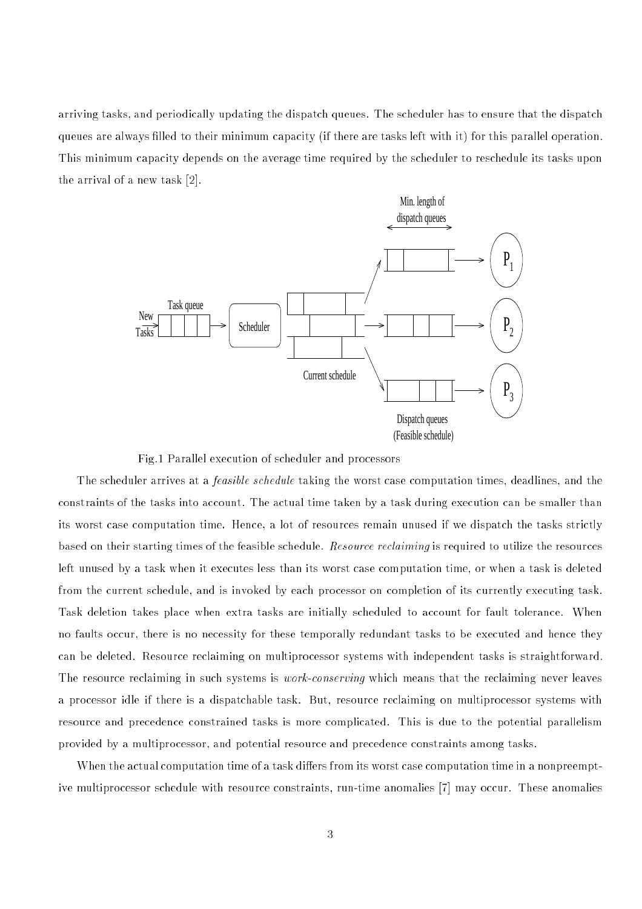arriving tasks, and periodically updating the dispatch queues. The scheduler has to ensure that the dispatch queues are always lled to their minimum capacity (if there are tasks left with it) for this parallel operation. This minimum capacity depends on the average time required by the scheduler to reschedule its tasks upon the arrival of a new task [2].



Fig.1 Parallel execution of scheduler and processors

The scheduler arrives at a *feasible schedule* taking the worst case computation times, deadlines, and the constraints of the tasks into account. The actual time taken by a task during execution can be smaller than its worst case computation time. Hence, a lot of resources remain unused if we dispatch the tasks strictly based on their starting times of the feasible schedule. Resource reclaiming is required to utilize the resources left unused by a task when it executes less than its worst case computation time, or when a task is deleted from the current schedule, and is invoked by each processor on completion of its currently executing task. Task deletion takes place when extra tasks are initially scheduled to account for fault tolerance. When no faults occur, there is no necessity for these temporally redundant tasks to be executed and hence they can be deleted. Resource reclaiming on multiprocessor systems with independent tasks is straightforward. The resource reclaiming in such systems is *work-conserving* which means that the reclaiming never leaves a processor idle if there is a dispatchable task. But, resource reclaiming on multiprocessor systems with resource and precedence constrained tasks is more complicated. This is due to the potential parallelism provided by a multiprocessor, and potential resource and precedence constraints among tasks.

When the actual computation time of a task differs from its worst case computation time in a nonpreemptive multiprocessor schedule with resource constraints, run-time anomalies [7] may occur. These anomalies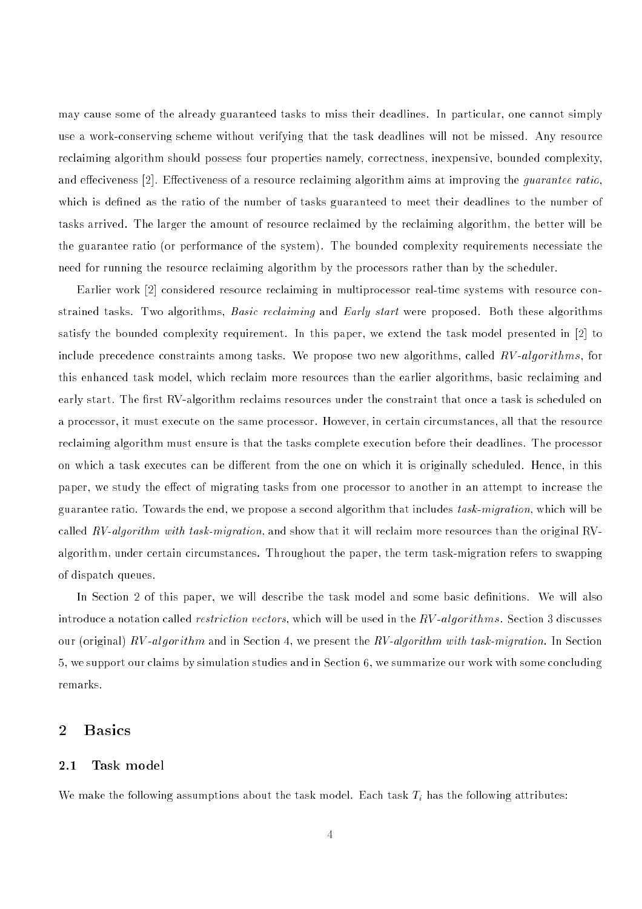may cause some of the already guaranteed tasks to miss their deadlines. In particular, one cannot simply use a work-conserving scheme without verifying that the task deadlines will not be missed. Any resource reclaiming algorithm should possess four properties namely, correctness, inexpensive, bounded complexity, and effeciveness  $[2]$ . Effectiveness of a resource reclaiming algorithm aims at improving the *quarantee ratio*, which is defined as the ratio of the number of tasks guaranteed to meet their deadlines to the number of tasks arrived. The larger the amount of resource reclaimed by the reclaiming algorithm, the better will be the guarantee ratio (or performance of the system). The bounded complexity requirements necessiate the need for running the resource reclaiming algorithm by the processors rather than by the scheduler.

Earlier work [2] considered resource reclaiming in multiprocessor real-time systems with resource constrained tasks. Two algorithms, *Basic reclaiming* and *Early start* were proposed. Both these algorithms satisfy the bounded complexity requirement. In this paper, we extend the task model presented in [2] to include precedence constraints among tasks. We propose two new algorithms, called  $RV$ -algorithms, for this enhanced task model, which reclaim more resources than the earlier algorithms, basic reclaiming and early start. The first RV-algorithm reclaims resources under the constraint that once a task is scheduled on a processor, it must execute on the same processor. However, in certain circumstances, all that the resource reclaiming algorithm must ensure is that the tasks complete execution before their deadlines. The processor on which a task executes can be different from the one on which it is originally scheduled. Hence, in this paper, we study the effect of migrating tasks from one processor to another in an attempt to increase the guarantee ratio. Towards the end, we propose a second algorithm that includes task-migration, which will be called RV-algorithm with task-migration, and show that it will reclaim more resources than the original RValgorithm, under certain circumstances. Throughout the paper, the term task-migration refers to swapping of dispatch queues.

In Section 2 of this paper, we will describe the task model and some basic definitions. We will also introduce a notation called *restriction vectors*, which will be used in the  $RV$ -algorithms. Section 3 discusses our (original)  $RV$ -algorithm and in Section 4, we present the  $RV$ -algorithm with task-migration. In Section 5, we support our claims by simulation studies and in Section 6, we summarize our work with some concluding remarks.

#### $\overline{2}$ **Basics**

#### 2.1Task model

We make the following assumptions about the task model. Each task  $T_i$  has the following attributes: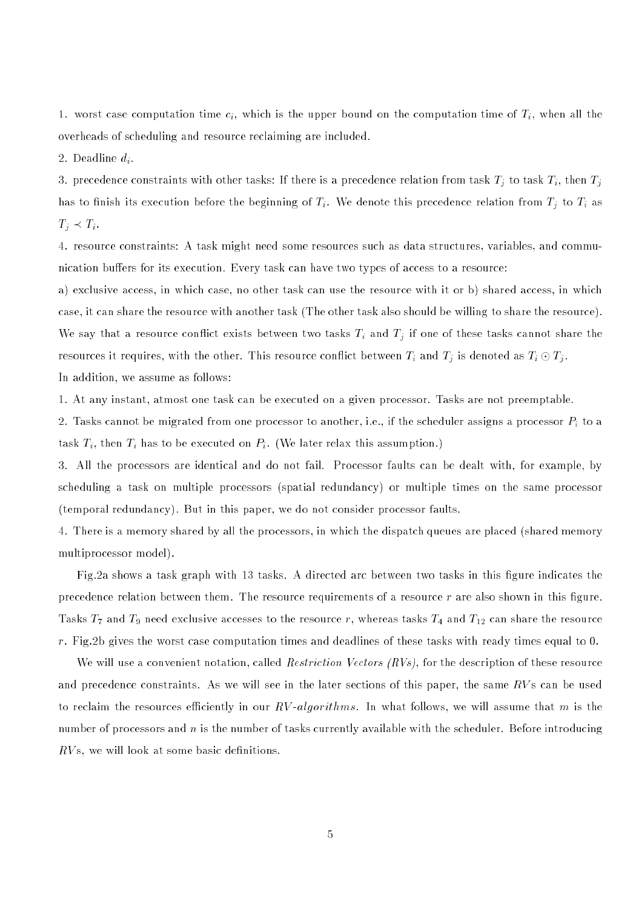1. worst case computation time  $c_i$ , which is the upper bound on the computation time of  $T_i$ , when all the overheads of scheduling and resource reclaiming are included.

2. Deadline  $d_i$ .

3. precedence constraints with other tasks: If there is a precedence relation from task  $T_j$  to task  $T_i$ , then  $T_j$ has to finish its execution before the beginning of  $T_i$ . We denote this precedence relation from  $T_i$  to  $T_i$  as  $T_j \prec T_i$ .

4. resource constraints: A task might need some resources such as data structures, variables, and communication buffers for its execution. Every task can have two types of access to a resource:

a) exclusive access, in which case, no other task can use the resource with it or b) shared access, in which case, it can share the resource with another task (The other task also should be willing to share the resource). We say that a resource conflict exists between two tasks  $T_i$  and  $T_j$  if one of these tasks cannot share the resources it requires, with the other. This resource conflict between  $T_i$  and  $T_j$  is denoted as  $T_i \odot T_j$ . In addition, we assume as follows:

1. At any instant, atmost one task can be executed on a given processor. Tasks are not preemptable.

2. Tasks cannot be migrated from one processor to another, i.e., if the scheduler assigns a processor  $P_i$  to a task  $T_i$ , then  $T_i$  has to be executed on  $P_i$ . (We later relax this assumption.)

3. All the processors are identical and do not fail. Processor faults can be dealt with, for example, by scheduling a task on multiple processors (spatial redundancy) or multiple times on the same processor (temporal redundancy). But in this paper, we do not consider processor faults.

4. There is a memory shared by all the processors, in which the dispatch queues are placed (shared memory multiprocessor model).

Fig. 2a shows a task graph with 13 tasks. A directed arc between two tasks in this figure indicates the precedence relation between them. The resource requirements of a resource  $r$  are also shown in this figure. Tasks T7 and T9 need exclusive accesses to the resource r, whereas tasks T4 and T12 can share the resource r. Fig.2b gives the worst case computation times and deadlines of these tasks with ready times equal to 0.

We will use a convenient notation, called *Restriction Vectors (RVs)*, for the description of these resource and precedence constraints. As we will see in the later sections of this paper, the same  $RVs$  can be used to reclaim the resources efficiently in our RV-algorithms. In what follows, we will assume that m is the number of processors and  $n$  is the number of tasks currently available with the scheduler. Before introducing RV s, we will look at some basic denitions.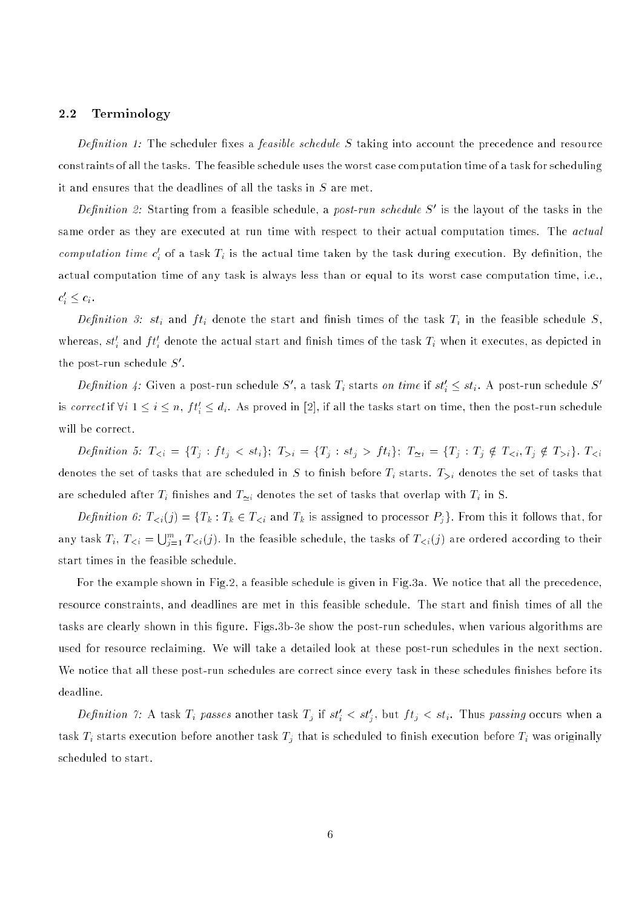#### $2.2$ Terminology

Definition 1: The scheduler fixes a *feasible schedule S* taking into account the precedence and resource constraints of all the tasks. The feasible schedule uses the worst case computation time of a task for scheduling it and ensures that the deadlines of all the tasks in <sup>S</sup> are met.

 $Depation\ z\colon$  Starting from a feasible schedule, a post-run schedule  $S$  is the layout of the tasks in the same order as they are executed at run time with respect to their actual computation times. The actual *computation time*  $c_i$  of a task  $T_i$  is the actual time taken by the task during execution. By definition, the actual computation time of any task is always less than or equal to its worst case computation time, i.e.,  $c_i \leq c_i$ .

Definition 3: st<sub>i</sub> and ft<sub>i</sub> denote the start and finish times of the task  $T_i$  in the feasible schedule S, whereas,  $s\iota_i$  and  $ft_i$  denote the actual start and finish times of the task  $T_i$  when it executes, as depicted in  $\alpha$  schedule  $\beta$  .

*Definition 4*: Given a post-run schedule  $S$ , a task  $T_i$  starts *on time* if  $st_i \leq st_i$ . A post-run schedule  $S$ is *correct* if  $n \in \{1, 2, \ldots, n\}$  is correct in  $\{z\}$ , if an the tasks start on time, then the post-run schedule will be correct.

 $Definition\ 5: \ T_{\leq i} = \{T_j : ft_j \leq st_i\}; \ T_{>i} = \{T_j : st_j > ft_i\}; \ T_{\simeq i} = \{T_j : T_j \notin T_{\leq i}, T_j \notin T_{>i}\}. \ T_{\leq i} = \{T_j : ft_j \notin T_{\simeq i}, T_j \notin T_{\simeq i}\}.$ denotes the set of tasks that are scheduled in S to finish before  $T_i$  starts.  $T_{>i}$  denotes the set of tasks that are scheduled after  $T_i$  finishes and  $T_{\simeq i}$  denotes the set of tasks that overlap with  $T_i$  in S.

Definition 6:  $T_{\leq i}(j) = \{T_k : T_k \in T_{\leq i} \text{ and } T_k \text{ is assigned to processor } P_j\}$ . From this it follows that, for any task  $T_i, T_{< i} = \bigcup_{i=1}^m T_{< i}(j).$  In the feasible schedule, the tasks of  $T_{< i}(j)$  are ordered according to their start times in the feasible schedule.

For the example shown in Fig.2, a feasible schedule is given in Fig.3a. We notice that all the precedence, resource constraints, and deadlines are met in this feasible schedule. The start and finish times of all the tasks are clearly shown in this figure. Figs.3b-3e show the post-run schedules, when various algorithms are used for resource reclaiming. We will take a detailed look at these post-run schedules in the next section. We notice that all these post-run schedules are correct since every task in these schedules finishes before its deadline.

*Definition 1*: A task  $T_i$  passes another task  $T_j$  if  $st_i < st_j$ , but  $ft_j < st_i$ . Thus passing occurs when a task  $T_i$  starts execution before another task  $T_j$  that is scheduled to finish execution before  $T_i$  was originally scheduled to start.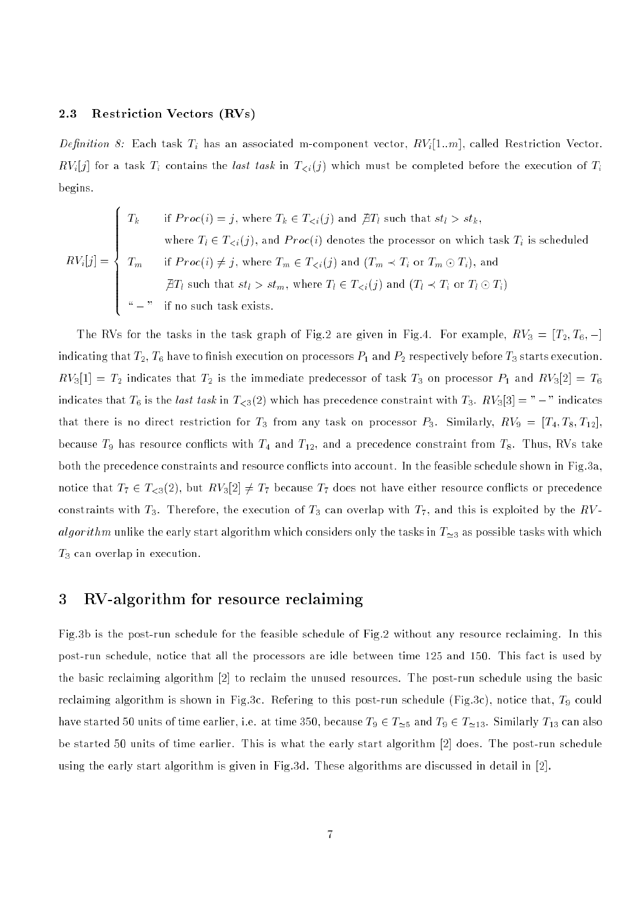#### 2.3Restriction Vectors (RVs)

<sup>8</sup>

Definition 8: Each task  $T_i$  has an associated m-component vector,  $RV_i[1..m]$ , called Restriction Vector.  $RV_i[j]$  for a task  $T_i$  contains the *last task* in  $T_{\leq i}(j)$  which must be completed before the execution of  $T_i$ begins.

$$
RV_i[j] = \begin{cases} T_k & \text{if } Proc(i) = j \text{, where } T_k \in T_{< i}(j) \text{ and } \nexists T_l \text{ such that } st_l > st_k, \\ & \text{where } T_l \in T_{< i}(j) \text{, and } Proc(i) \text{ denotes the processor on which task } T_i \text{ is scheduled} \\ T_m & \text{if } Proc(i) \neq j \text{, where } T_m \in T_{< i}(j) \text{ and } (T_m \prec T_i \text{ or } T_m \odot T_i) \text{, and} \\ & \nexists T_l \text{ such that } st_l > st_m \text{, where } T_l \in T_{< i}(j) \text{ and } (T_l \prec T_i \text{ or } T_l \odot T_i) \\ & \text{if } n \text{ is such task exists.} \end{cases}
$$

The RVs for the tasks in the task graph of Fig.2 are given in Fig.4. For example, RV3 <sup>=</sup> [T2; T6; ] indicating that T2, T6 have to nish execution on processors P1 and P2 respectively before T3 starts execution. RV3[1] = T2 indicates that T2 is the immediate predecessor of task T3 on processor P1 and RV3[2] <sup>=</sup> T6 indicates that T6 is the last task in T<3(2) which has precedence constraint with T3. RV3[3] = " " indicates that there is no direct restriction for T3, from any task on processor T3. Similarly, RV9  $\beta$  = [T4; T8; T12]; because T9 has resource con
icts with T4 and T12, and <sup>a</sup> precedence constraint from T8. Thus, RVs take both the precedence constraints and resource conflicts into account. In the feasible schedule shown in Fig.3a, notice that T7 <sup>2</sup> T<3(2), but RV3[2] 6= T7 because T7 does not have either resource con
icts or precedence constraints with T3. Therefore, the execution of T3 can overlap with T7, and this is exploited by the RV  $a$ iyor ithm unlike the early start algorithm which considers only the tasks in TN3 as possible tasks with which T3 can overlap in execution.

#### 3 RV-algorithm for resource reclaiming 3

Fig.3b is the post-run schedule for the feasible schedule of Fig.2 without any resource reclaiming. In this post-run schedule, notice that all the processors are idle between time 125 and 150. This fact is used by the basic reclaiming algorithm [2] to reclaim the unused resources. The post-run schedule using the basic reclaiming algorithm is shown in Fig.3c. Refering to this post-run schedule (Fig.3c), notice that, T9 could have started 50 units of time earlier, i.e. at time  $500$ , because  $T9 \subset T_{\infty 5}$  and  $T9 \subset T_{\infty 13}$ . Similarly T13 can also be started 50 units of time earlier. This is what the early start algorithm [2] does. The post-run schedule using the early start algorithm is given in Fig.3d. These algorithms are discussed in detail in [2].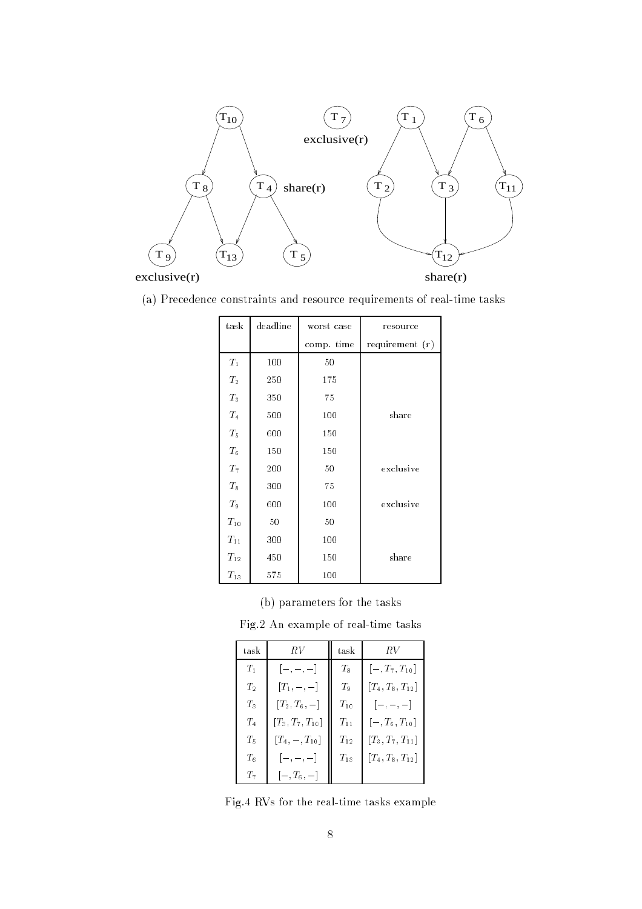

(a) Precedence constraints and resource requirements of real-time tasks

| $_{\rm task}$ | deadline | worst case | resource          |
|---------------|----------|------------|-------------------|
|               |          | comp. time | requirement $(r)$ |
| $T_{1}$       | 100      | 50         |                   |
| $T_{2}$       | 250      | 175        |                   |
| $T_{3}$       | 350      | 75         |                   |
| $T_{4}$       | 500      | 100        | share             |
| $T_{\rm 5}$   | 600      | 150        |                   |
| $T_{6}$       | 150      | 150        |                   |
| $T_7$         | 200      | 50         | exclusive         |
| $T_{8}$       | 300      | 75         |                   |
| $T_{9}$       | 600      | 100        | exclusive         |
| $T_{10}$      | 50       | 50         |                   |
| $T_{11}$      | 300      | 100        |                   |
| $T_{12}$      | 450      | 150        | $_{\rm share}$    |
| $T_{13}$      | 575      | 100        |                   |

|  | (b) parameters for the tasks |  |  |  |
|--|------------------------------|--|--|--|
|--|------------------------------|--|--|--|

Fig.2 An example of real-time tasks

| task                          | RV.                  | task     | RV                   |
|-------------------------------|----------------------|----------|----------------------|
| T1                            | $[-,-,-]$            | $T_{8}$  | $[-,T_7,T_{10}]$     |
| $T_2$                         | $[T_1, -, -]$        | $T_{9}$  | $[T_4, T_8, T_{12}]$ |
| $T_{3}$                       | $[T_2, T_6, -]$      | $T_{10}$ | $[-,-,-]$            |
| $T_{4}$                       | $[T_3, T_7, T_{10}]$ | $T_{11}$ | $[-,T_6,T_{10}]$     |
| $T_{\scriptscriptstyle\rm E}$ | $[T_4, -, T_{10}]$   | $T_{12}$ | $[T_3, T_7, T_{11}]$ |
| $T_{\rm 6}$                   | $[-,-,-]$            | $T_{13}$ | $[T_4, T_8, T_{12}]$ |
| $T_7$                         | $[-,T_6,-]$          |          |                      |

Fig.4 RVs for the real-time tasks example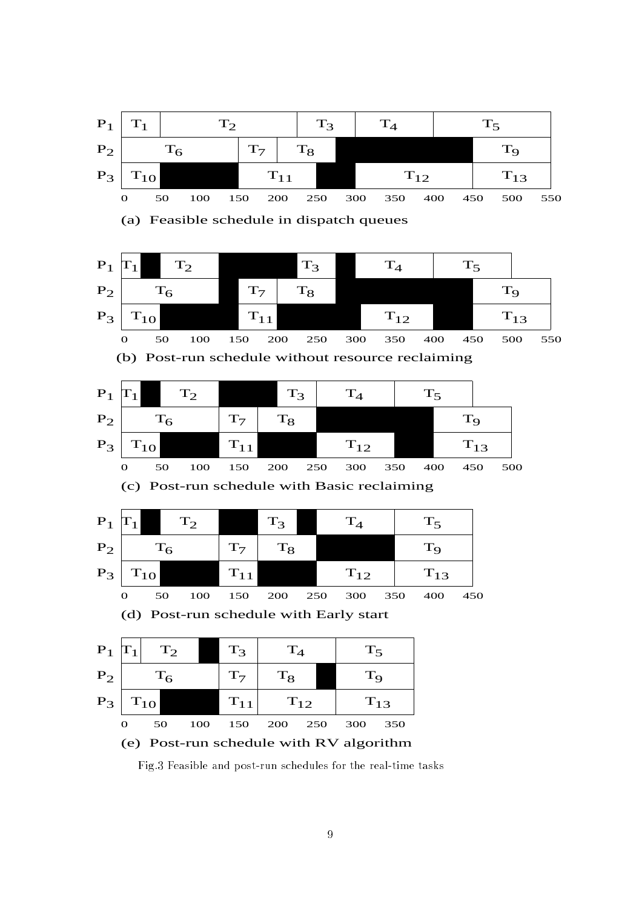

Fig.3 Feasible and post-run schedules for the real-time tasks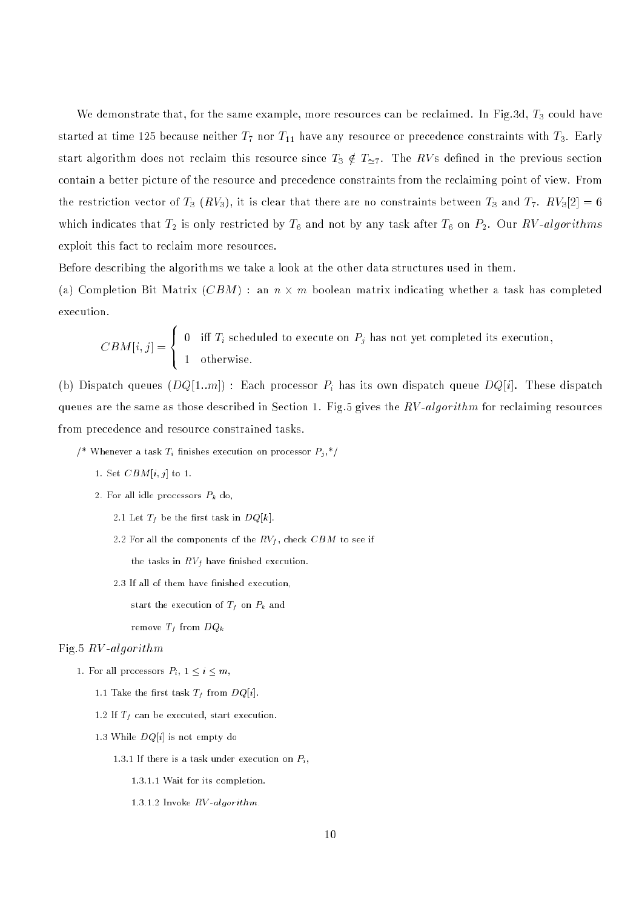we demonstrate that, for the same example, more resources can be reclaimed. In Fig.3d, T3 could have t started at time 125 because neither T7 nor T11 have any resource or precedence constraints with T3. Early start algorithm does not reclaim this resource since  $T_3 \nsubseteq T_{\infty}$ . The RV s defined in the previous section contain a better picture of the resource and precedence constraints from the reclaiming point of view. From the restriction vector of T3 (RV3), it is clear that there are no constraints between T3 and T7. RV3[2] = 6 which is distributed that T2 is only restricted by T6 and not by any task after T6 on P2. Our RV -algorithms exploit this fact to reclaim more resources.

Before describing the algorithms we take a look at the other data structures used in them.

(a) Completion Bit Matrix (CBM) : an <sup>n</sup> - <sup>m</sup> boolean matrix indicating whether a task has completed execution.

$$
CBM[i,j] = \begin{cases} 0 & \text{iff } T_i \text{ scheduled to execute on } P_j \text{ has not yet completed its execution,} \\ 1 & \text{otherwise.} \end{cases}
$$

(b) Dispatch queues  $(DQ[1..m])$ : Each processor  $P_i$  has its own dispatch queue  $DQ[i]$ . These dispatch queues are the same as those described in Section 1. Fig.5 gives the RV-algorithm for reclaiming resources from precedence and resource constrained tasks.

- $\mu$  . Whenever a task Ti is the task Time on the process of  $\mu$  ,  $\mu$ 
	- 1. Set CBM[i; j] to 1.
	- 2. For all idle processors Pk do,

**8.12 Street** 

- 2.1 Let Texture the the task in December 1972, the pair of the U.S. of the U.S. of the U.S. of the U.S. of the
- $2.2$  For all the components of the RVf , check CBM to see if

the tasks in RVf have nished execution.

- 2.3 If all of them have finished execution,
	- start the execution of Taylor and Parties
	- $r$  . The  $r$  from  $D_{\mathcal{R}}$

### Fig.5 RV -algorithm

- 1. For all processors Pi, 1 <sup>i</sup> m,
	- 1.1 Take the second the state of  $\alpha$  and  $\alpha$   $\beta$  for  $\beta$
	- 1.2 If Tf can be executed, start execution.
	- 1.3 While DQ[i] is not empty do
		- 1.3.1 If there is a task under execution on Pi ,
			- 1.3.1.1 Wait for its completion.
			- 1.3.1.2 Invoke RV -algorithm.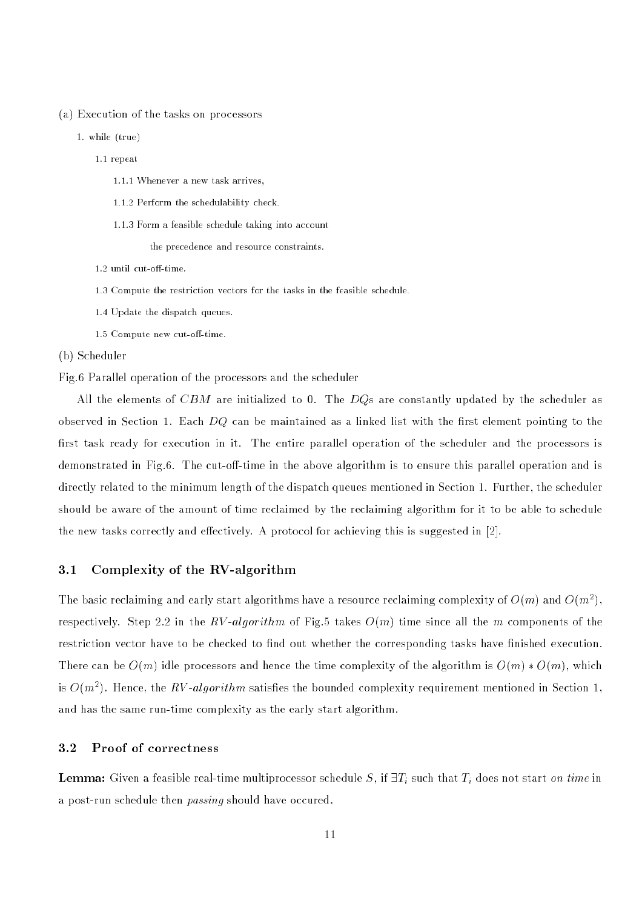(a) Execution of the tasks on processors

1. while (true)

1.1 repeat

1.1.1 Whenever a new task arrives,

- 1.1.2 Perform the schedulability check.
- 1.1.3 Form a feasible schedule taking into account

the precedence and resource constraints.

- $1.2$  until cut-off-time.
- 1.3 Compute the restriction vectors for the tasks in the feasible schedule.
- 1.4 Update the dispatch queues.
- 1.5 Compute new cut-off-time.

(b) Scheduler

Fig.6 Parallel operation of the processors and the scheduler

All the elements of  $CBM$  are initialized to 0. The  $DQs$  are constantly updated by the scheduler as observed in Section 1. Each  $DQ$  can be maintained as a linked list with the first element pointing to the first task ready for execution in it. The entire parallel operation of the scheduler and the processors is demonstrated in Fig.6. The cut-off-time in the above algorithm is to ensure this parallel operation and is directly related to the minimum length of the dispatch queues mentioned in Section 1. Further, the scheduler should be aware of the amount of time reclaimed by the reclaiming algorithm for it to be able to schedule the new tasks correctly and effectively. A protocol for achieving this is suggested in  $[2]$ .

#### 3.1Complexity of the RV-algorithm

The basic reclaiming and early start algorithms have a resource reclaiming complexity of  $O(m)$  and  $O(m^2)$ , respectively. Step 2.2 in the RV-algorithm of Fig.5 takes  $O(m)$  time since all the m components of the restriction vector have to be checked to find out whether the corresponding tasks have finished execution. There can be  $O(m)$  idle processors and hence the time complexity of the algorithm is  $O(m) * O(m)$ , which is  $O(m^*)$ . Hence, the  $Kv$  -algorithm satisfies the bounded complexity requirement mentioned in Section 1, and has the same run-time complexity as the early start algorithm.

#### 3.2Proof of correctness

**Lemma:** Given a feasible real-time multiprocessor schedule S, if  $\exists T_i$  such that  $T_i$  does not start on time in a post-run schedule then passing should have occured.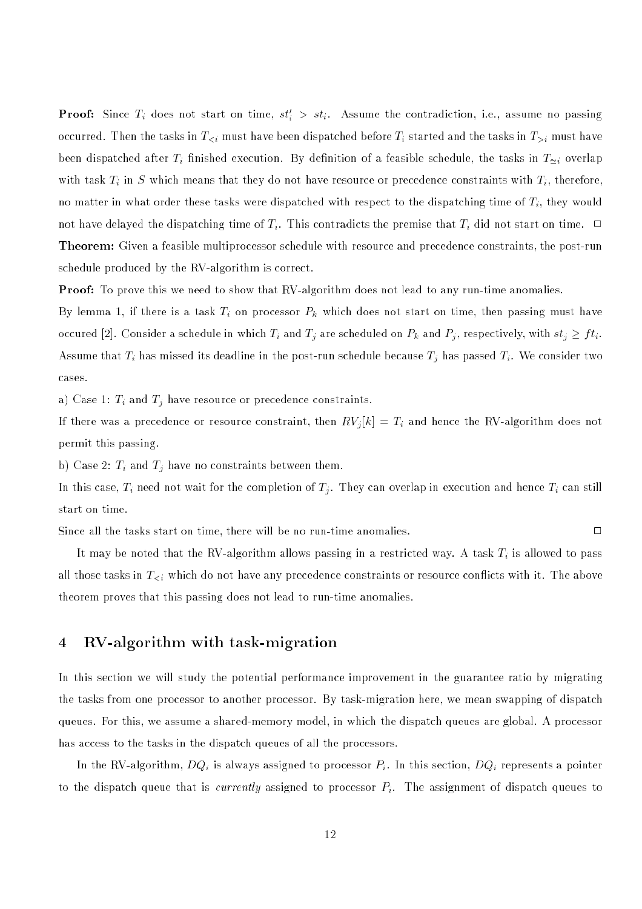**Proof:** Since  $T_i$  does not start on time,  $s t_i > s t_i$ . Assume the contradiction, i.e., assume no passing occurred. Then the tasks in  $T_{\leq i}$  must have been dispatched before  $T_i$  started and the tasks in  $T_{>i}$  must have been dispatched after  $T_i$  finished execution. By definition of a feasible schedule, the tasks in  $T_{\simeq i}$  overlap with task  $T_i$  in S which means that they do not have resource or precedence constraints with  $T_i$ , therefore, no matter in what order these tasks were dispatched with respect to the dispatching time of  $T_i$ , they would not have delayed the dispatching time of  $T_i$ . This contradicts the premise that  $T_i$  did not start on time.  $\Box$ Theorem: Given a feasible multiprocessor schedule with resource and precedence constraints, the post-run schedule produced by the RV-algorithm is correct.

**Proof:** To prove this we need to show that RV-algorithm does not lead to any run-time anomalies.

By lemma 1, if there is a task  $T_i$  on processor  $P_k$  which does not start on time, then passing must have occured [2]. Consider a schedule in which  $T_i$  and  $T_j$  are scheduled on  $P_k$  and  $P_j$ , respectively, with  $st_j \geq ft_i$ . Assume that  $T_i$  has missed its deadline in the post-run schedule because  $T_j$  has passed  $T_i$ . We consider two cases.

a) Case 1:  $T_i$  and  $T_j$  have resource or precedence constraints.

If there was a precedence or resource constraint, then  $RV<sub>j</sub>[k] = T<sub>i</sub>$  and hence the RV-algorithm does not permit this passing.

b) Case 2:  $T_i$  and  $T_j$  have no constraints between them.

In this case,  $T_i$  need not wait for the completion of  $T_j$ . They can overlap in execution and hence  $T_i$  can still start on time.

 $\Box$ 

Since all the tasks start on time, there will be no run-time anomalies. <sup>2</sup>

It may be noted that the RV-algorithm allows passing in a restricted way. A task  $T_i$  is allowed to pass all those tasks in  $T_{\leq i}$  which do not have any precedence constraints or resource conflicts with it. The above theorem proves that this passing does not lead to run-time anomalies.

### 4 RV-algorithm with task-migration

In this section we will study the potential performance improvement in the guarantee ratio by migrating the tasks from one processor to another processor. By task-migration here, we mean swapping of dispatch queues. For this, we assume a shared-memory model, in which the dispatch queues are global. A processor has access to the tasks in the dispatch queues of all the processors.

In the RV-algorithm,  $DQ_i$  is always assigned to processor  $P_i$ . In this section,  $DQ_i$  represents a pointer to the dispatch queue that is *currently* assigned to processor  $P_i$ . The assignment of dispatch queues to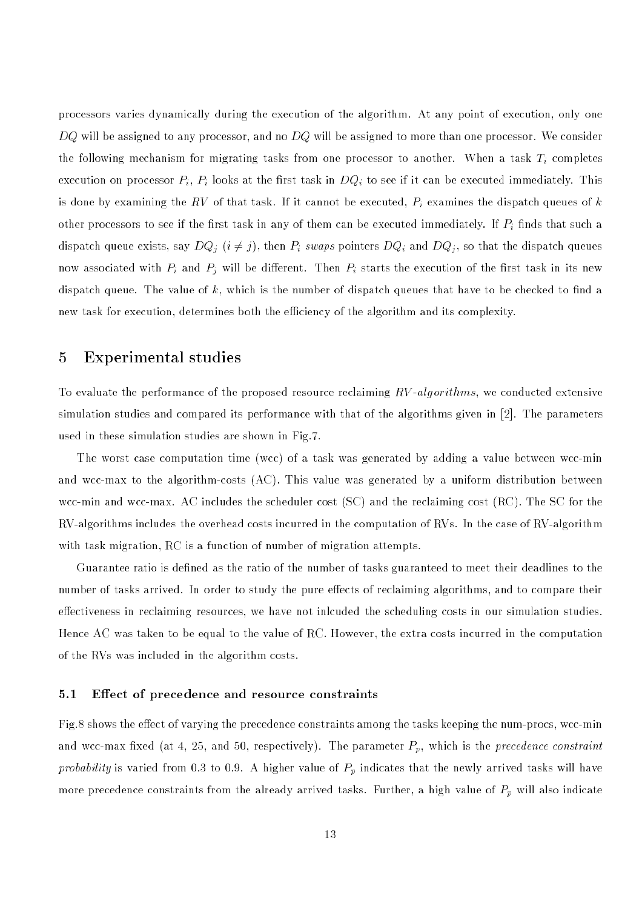processors varies dynamically during the execution of the algorithm. At any point of execution, only one DQ will be assigned to any processor, and no DQ will be assigned to more than one processor. We consider the following mechanism for migrating tasks from one processor to another. When a task  $T_i$  completes execution on processor  $P_i$ ,  $P_i$  looks at the first task in  $DQ_i$  to see if it can be executed immediately. This is done by examining the RV of that task. If it cannot be executed,  $P_i$  examines the dispatch queues of k other processors to see if the first task in any of them can be executed immediately. If  $P_i$  finds that such a dispatch queue exists, say  $DQ_j$   $(i \neq j)$ , then  $P_i$  swaps pointers  $DQ_i$  and  $DQ_j$ , so that the dispatch queues now associated with  $P_i$  and  $P_j$  will be different. Then  $P_i$  starts the execution of the first task in its new dispatch queue. The value of  $k$ , which is the number of dispatch queues that have to be checked to find a new task for execution, determines both the efficiency of the algorithm and its complexity.

# 5 Experimental studies

To evaluate the performance of the proposed resource reclaiming  $RV$ -algorithms, we conducted extensive simulation studies and compared its performance with that of the algorithms given in [2]. The parameters used in these simulation studies are shown in Fig.7.

The worst case computation time (wcc) of a task was generated by adding a value between wcc-min and wcc-max to the algorithm-costs (AC). This value was generated by a uniform distribution between wcc-min and wcc-max. AC includes the scheduler cost (SC) and the reclaiming cost (RC). The SC for the RV-algorithms includes the overhead costs incurred in the computation of RVs. In the case of RV-algorithm with task migration, RC is a function of number of migration attempts.

Guarantee ratio is dened as the ratio of the number of tasks guaranteed to meet their deadlines to the number of tasks arrived. In order to study the pure effects of reclaiming algorithms, and to compare their effectiveness in reclaiming resources, we have not inlcuded the scheduling costs in our simulation studies. Hence AC was taken to be equal to the value of RC. However, the extra costs incurred in the computation of the RVs was included in the algorithm costs.

#### 5.1Effect of precedence and resource constraints

Fig.8 shows the effect of varying the precedence constraints among the tasks keeping the num-procs, wcc-min and wcc-max fixed (at 4, 25, and 50, respectively). The parameter  $P_p$ , which is the precedence constraint probability is varied from 0.3 to 0.9. A higher value of  $P_p$  indicates that the newly arrived tasks will have more precedence constraints from the already arrived tasks. Further, a high value of  $P_p$  will also indicate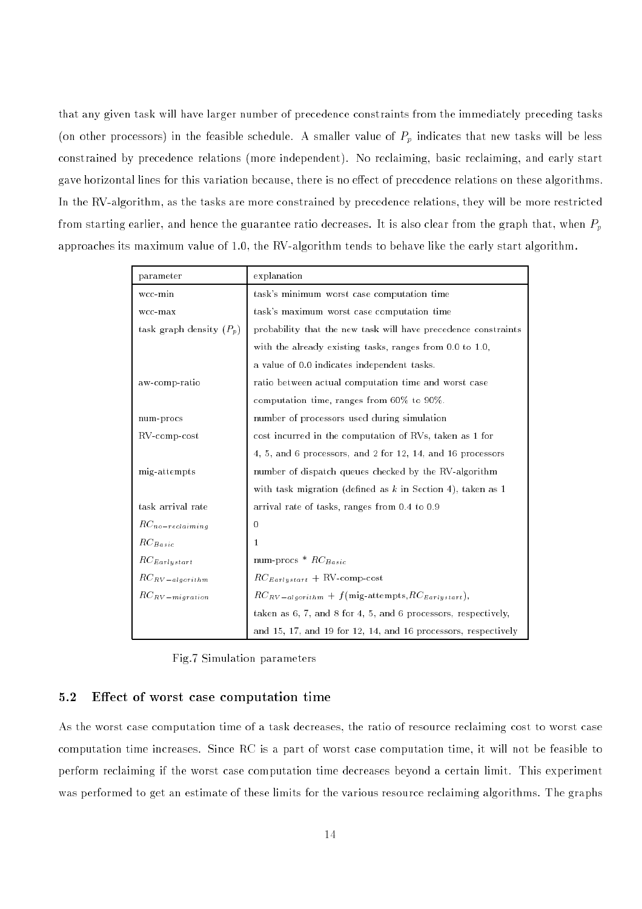that any given task will have larger number of precedence constraints from the immediately preceding tasks (on other processors) in the feasible schedule. A smaller value of  $P_p$  indicates that new tasks will be less constrained by precedence relations (more independent). No reclaiming, basic reclaiming, and early start gave horizontal lines for this variation because, there is no effect of precedence relations on these algorithms. In the RV-algorithm, as the tasks are more constrained by precedence relations, they will be more restricted from starting earlier, and hence the guarantee ratio decreases. It is also clear from the graph that, when  $P_p$ approaches its maximum value of 1.0, the RV-algorithm tends to behave like the early start algorithm.

| parameter                  | explanation                                                    |  |  |
|----------------------------|----------------------------------------------------------------|--|--|
| wcc-min                    | task's minimum worst case computation time                     |  |  |
| wcc-max                    | task's maximum worst case computation time                     |  |  |
| task graph density $(P_p)$ | probability that the new task will have precedence constraints |  |  |
|                            | with the already existing tasks, ranges from 0.0 to 1.0,       |  |  |
|                            | a value of 0.0 indicates independent tasks.                    |  |  |
| aw-comp-ratio              | ratio between actual computation time and worst case           |  |  |
|                            | computation time, ranges from $60\%$ to $90\%$ .               |  |  |
| num-procs                  | number of processors used during simulation                    |  |  |
| RV-comp-cost               | cost incurred in the computation of RVs, taken as 1 for        |  |  |
|                            | 4, 5, and 6 processors, and 2 for 12, 14, and 16 processors    |  |  |
| mig-attempts               | number of dispatch queues checked by the RV-algorithm          |  |  |
|                            | with task migration (defined as $k$ in Section 4), taken as 1  |  |  |
| task arrival rate          | arrival rate of tasks, ranges from 0.4 to 0.9                  |  |  |
| $RC_{no-reclaiming}$       | 0                                                              |  |  |
| $RC_{Basic}$               | 1                                                              |  |  |
| $RC_{Early\,start}$        | num-procs * $RC_{Basic}$                                       |  |  |
| $RC_{RV-algorithm}$        | $RC_{Early\,start}$ + RV-comp-cost                             |  |  |
| $RC_{RV-minaration}$       | $RC_{RV=algorithm} + f(mig- attempts, RC_{Early\,star})$       |  |  |
|                            | taken as 6, 7, and 8 for 4, 5, and 6 processors, respectively, |  |  |
|                            | and 15, 17, and 19 for 12, 14, and 16 processors, respectively |  |  |

Fig.7 Simulation parameters

#### 5.2Effect of worst case computation time

As the worst case computation time of a task decreases, the ratio of resource reclaiming cost to worst case computation time increases. Since RC is a part of worst case computation time, it will not be feasible to perform reclaiming if the worst case computation time decreases beyond a certain limit. This experiment was performed to get an estimate of these limits for the various resource reclaiming algorithms. The graphs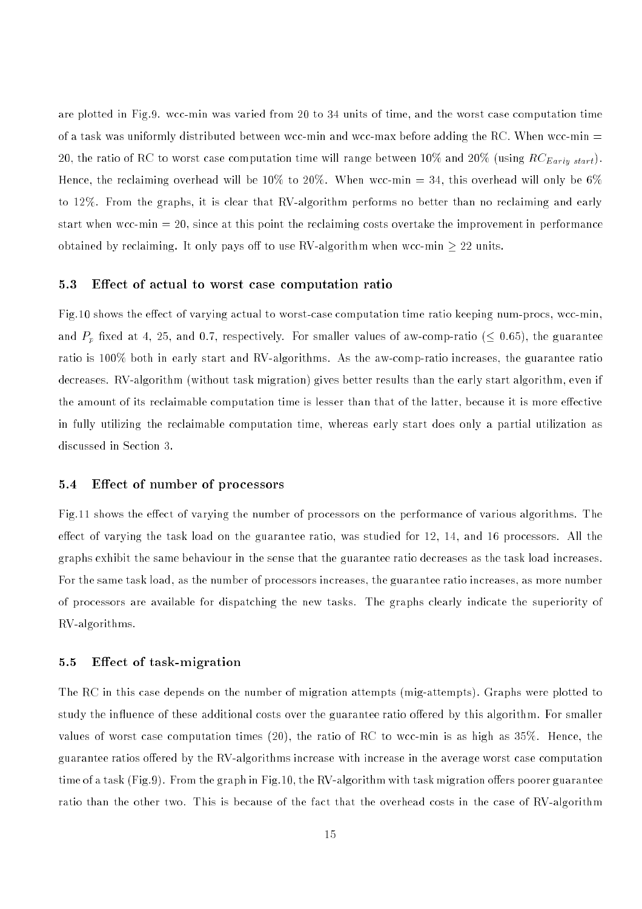are plotted in Fig.9. wcc-min was varied from 20 to 34 units of time, and the worst case computation time of a task was uniformly distributed between wcc-min and wcc-max before adding the RC. When wcc-min  $=$ 20, the ratio of RC to worst case computation time will range between 10% and 20% (using  $RC_{Early\ start})$ . Hence, the reclaiming overhead will be 10% to 20%. When wcc-min = 34, this overhead will only be 6% to 12%. From the graphs, it is clear that RV-algorithm performs no better than no reclaiming and early start when wcc-min  $= 20$ , since at this point the reclaiming costs overtake the improvement in performance obtained by reclaiming. It only pays off to use RV-algorithm when wcc-min  $\geq 22$  units.

#### 5.3Effect of actual to worst case computation ratio

Fig.10 shows the effect of varying actual to worst-case computation time ratio keeping num-procs, wcc-min, and  $P_p$  fixed at 4, 25, and 0.7, respectively. For smaller values of aw-comp-ratio ( $\leq 0.65$ ), the guarantee ratio is 100% both in early start and RV-algorithms. As the aw-comp-ratio increases, the guarantee ratio decreases. RV-algorithm (without task migration) gives better results than the early start algorithm, even if the amount of its reclaimable computation time is lesser than that of the latter, because it is more effective in fully utilizing the reclaimable computation time, whereas early start does only a partial utilization as discussed in Section 3.

#### 5.4Effect of number of processors

Fig.11 shows the effect of varying the number of processors on the performance of various algorithms. The effect of varying the task load on the guarantee ratio, was studied for  $12$ ,  $14$ , and  $16$  processors. All the graphs exhibit the same behaviour in the sense that the guarantee ratio decreases as the task load increases. For the same task load, as the number of processors increases, the guarantee ratio increases, as more number of processors are available for dispatching the new tasks. The graphs clearly indicate the superiority of RV-algorithms.

#### 5.5Effect of task-migration

The RC in this case depends on the number of migration attempts (mig-attempts). Graphs were plotted to study the influence of these additional costs over the guarantee ratio offered by this algorithm. For smaller values of worst case computation times (20), the ratio of RC to wcc-min is as high as 35%. Hence, the guarantee ratios offered by the RV-algorithms increase with increase in the average worst case computation time of a task (Fig.9). From the graph in Fig.10, the RV-algorithm with task migration offers poorer guarantee ratio than the other two. This is because of the fact that the overhead costs in the case of RV-algorithm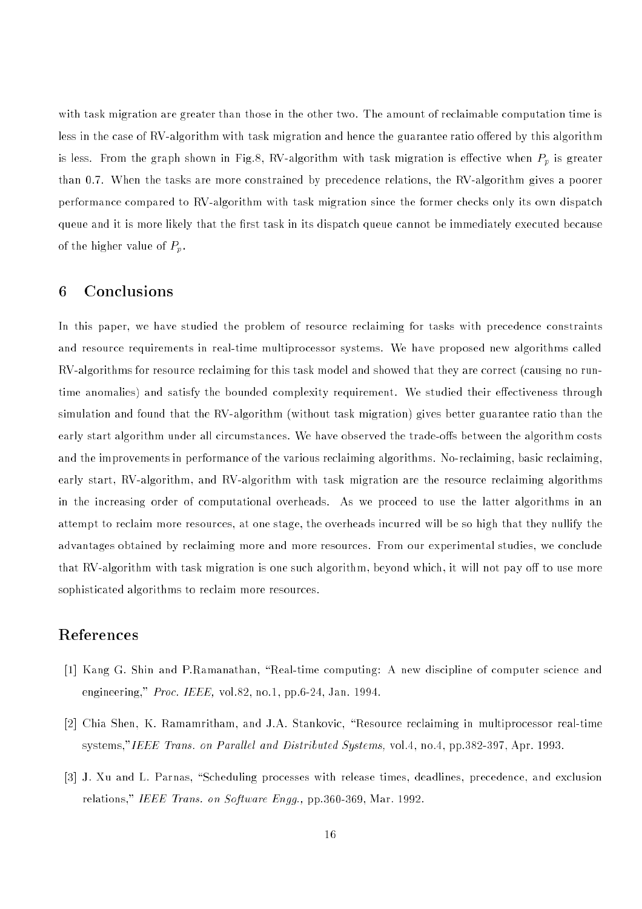with task migration are greater than those in the other two. The amount of reclaimable computation time is less in the case of RV-algorithm with task migration and hence the guarantee ratio offered by this algorithm is less. From the graph shown in Fig.8, RV-algorithm with task migration is effective when  $P_p$  is greater than 0.7. When the tasks are more constrained by precedence relations, the RV-algorithm gives a poorer performance compared to RV-algorithm with task migration since the former checks only its own dispatch queue and it is more likely that the first task in its dispatch queue cannot be immediately executed because of the higher value of  $P_p$ .

# 6 Conclusions

In this paper, we have studied the problem of resource reclaiming for tasks with precedence constraints and resource requirements in real-time multiprocessor systems. We have proposed new algorithms called RV-algorithms for resource reclaiming for this task model and showed that they are correct (causing no runtime anomalies) and satisfy the bounded complexity requirement. We studied their effectiveness through simulation and found that the RV-algorithm (without task migration) gives better guarantee ratio than the early start algorithm under all circumstances. We have observed the trade-offs between the algorithm costs and the improvements in performance of the various reclaiming algorithms. No-reclaiming, basic reclaiming, early start, RV-algorithm, and RV-algorithm with task migration are the resource reclaiming algorithms in the increasing order of computational overheads. As we proceed to use the latter algorithms in an attempt to reclaim more resources, at one stage, the overheads incurred will be so high that they nullify the advantages obtained by reclaiming more and more resources. From our experimental studies, we conclude that RV-algorithm with task migration is one such algorithm, beyond which, it will not pay off to use more sophisticated algorithms to reclaim more resources.

### References

- [1] Kang G. Shin and P.Ramanathan, "Real-time computing: A new discipline of computer science and engineering," Proc. IEEE, vol.82, no.1, pp.6-24, Jan. 1994.
- [2] Chia Shen, K. Ramamritham, and J.A. Stankovic, "Resource reclaiming in multiprocessor real-time systems,"IEEE Trans. on Parallel and Distributed Systems, vol.4, no.4, pp.382-397, Apr. 1993.
- [3] J. Xu and L. Parnas, "Scheduling processes with release times, deadlines, precedence, and exclusion relations," IEEE Trans. on Software Engg., pp.360-369, Mar. 1992.